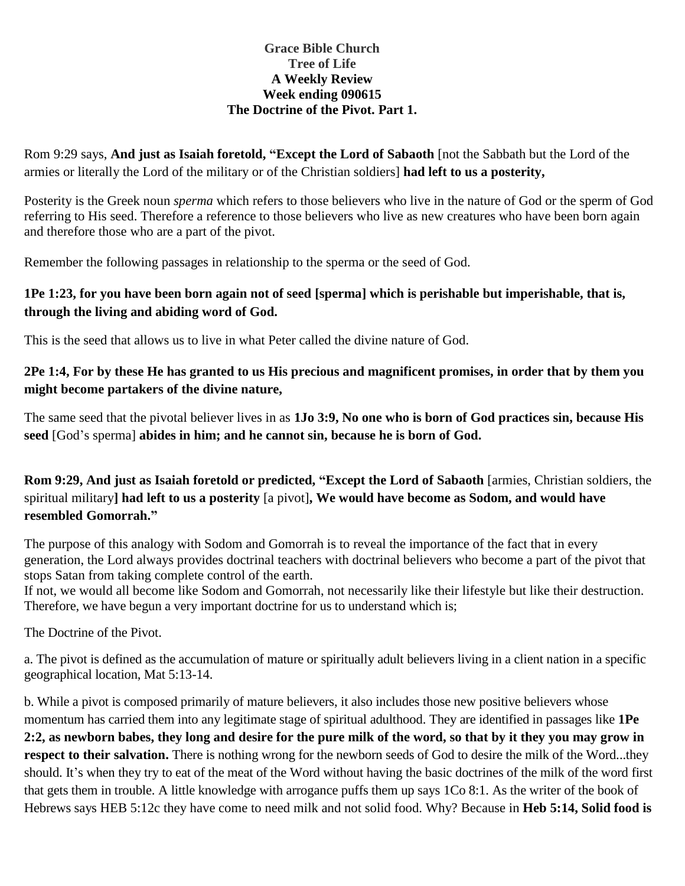#### **Grace Bible Church Tree of Life A Weekly Review Week ending 090615 The Doctrine of the Pivot. Part 1.**

Rom 9:29 says, **And just as Isaiah foretold, "Except the Lord of Sabaoth** [not the Sabbath but the Lord of the armies or literally the Lord of the military or of the Christian soldiers] **had left to us a posterity,**

Posterity is the Greek noun *sperma* which refers to those believers who live in the nature of God or the sperm of God referring to His seed. Therefore a reference to those believers who live as new creatures who have been born again and therefore those who are a part of the pivot.

Remember the following passages in relationship to the sperma or the seed of God.

### **1Pe 1:23, for you have been born again not of seed [sperma] which is perishable but imperishable, that is, through the living and abiding word of God.**

This is the seed that allows us to live in what Peter called the divine nature of God.

### **2Pe 1:4, For by these He has granted to us His precious and magnificent promises, in order that by them you might become partakers of the divine nature,**

The same seed that the pivotal believer lives in as **1Jo 3:9, No one who is born of God practices sin, because His seed** [God's sperma] **abides in him; and he cannot sin, because he is born of God.**

**Rom 9:29, And just as Isaiah foretold or predicted, "Except the Lord of Sabaoth** [armies, Christian soldiers, the spiritual military**] had left to us a posterity** [a pivot]**, We would have become as Sodom, and would have resembled Gomorrah."**

The purpose of this analogy with Sodom and Gomorrah is to reveal the importance of the fact that in every generation, the Lord always provides doctrinal teachers with doctrinal believers who become a part of the pivot that stops Satan from taking complete control of the earth.

If not, we would all become like Sodom and Gomorrah, not necessarily like their lifestyle but like their destruction. Therefore, we have begun a very important doctrine for us to understand which is;

The Doctrine of the Pivot.

a. The pivot is defined as the accumulation of mature or spiritually adult believers living in a client nation in a specific geographical location, Mat 5:13-14.

b. While a pivot is composed primarily of mature believers, it also includes those new positive believers whose momentum has carried them into any legitimate stage of spiritual adulthood. They are identified in passages like **1Pe 2:2, as newborn babes, they long and desire for the pure milk of the word, so that by it they you may grow in respect to their salvation.** There is nothing wrong for the newborn seeds of God to desire the milk of the Word...they should. It's when they try to eat of the meat of the Word without having the basic doctrines of the milk of the word first that gets them in trouble. A little knowledge with arrogance puffs them up says 1Co 8:1. As the writer of the book of Hebrews says HEB 5:12c they have come to need milk and not solid food. Why? Because in **Heb 5:14, Solid food is**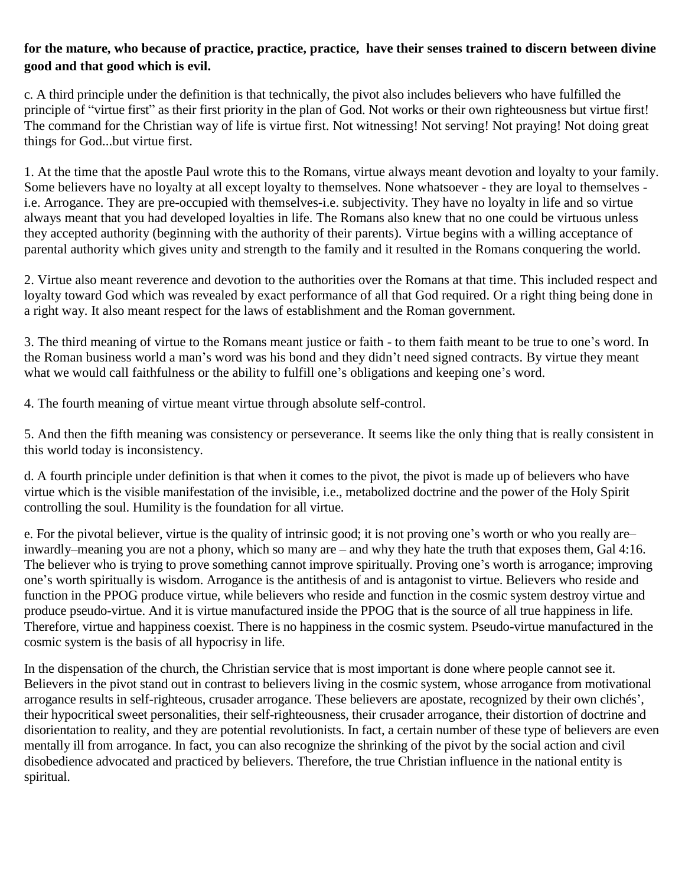### **for the mature, who because of practice, practice, practice, have their senses trained to discern between divine good and that good which is evil.**

c. A third principle under the definition is that technically, the pivot also includes believers who have fulfilled the principle of "virtue first" as their first priority in the plan of God. Not works or their own righteousness but virtue first! The command for the Christian way of life is virtue first. Not witnessing! Not serving! Not praying! Not doing great things for God...but virtue first.

1. At the time that the apostle Paul wrote this to the Romans, virtue always meant devotion and loyalty to your family. Some believers have no loyalty at all except loyalty to themselves. None whatsoever - they are loyal to themselves i.e. Arrogance. They are pre-occupied with themselves-i.e. subjectivity. They have no loyalty in life and so virtue always meant that you had developed loyalties in life. The Romans also knew that no one could be virtuous unless they accepted authority (beginning with the authority of their parents). Virtue begins with a willing acceptance of parental authority which gives unity and strength to the family and it resulted in the Romans conquering the world.

2. Virtue also meant reverence and devotion to the authorities over the Romans at that time. This included respect and loyalty toward God which was revealed by exact performance of all that God required. Or a right thing being done in a right way. It also meant respect for the laws of establishment and the Roman government.

3. The third meaning of virtue to the Romans meant justice or faith - to them faith meant to be true to one's word. In the Roman business world a man's word was his bond and they didn't need signed contracts. By virtue they meant what we would call faithfulness or the ability to fulfill one's obligations and keeping one's word.

4. The fourth meaning of virtue meant virtue through absolute self-control.

5. And then the fifth meaning was consistency or perseverance. It seems like the only thing that is really consistent in this world today is inconsistency.

d. A fourth principle under definition is that when it comes to the pivot, the pivot is made up of believers who have virtue which is the visible manifestation of the invisible, i.e., metabolized doctrine and the power of the Holy Spirit controlling the soul. Humility is the foundation for all virtue.

e. For the pivotal believer, virtue is the quality of intrinsic good; it is not proving one's worth or who you really are– inwardly–meaning you are not a phony, which so many are – and why they hate the truth that exposes them, Gal 4:16. The believer who is trying to prove something cannot improve spiritually. Proving one's worth is arrogance; improving one's worth spiritually is wisdom. Arrogance is the antithesis of and is antagonist to virtue. Believers who reside and function in the PPOG produce virtue, while believers who reside and function in the cosmic system destroy virtue and produce pseudo-virtue. And it is virtue manufactured inside the PPOG that is the source of all true happiness in life. Therefore, virtue and happiness coexist. There is no happiness in the cosmic system. Pseudo-virtue manufactured in the cosmic system is the basis of all hypocrisy in life.

In the dispensation of the church, the Christian service that is most important is done where people cannot see it. Believers in the pivot stand out in contrast to believers living in the cosmic system, whose arrogance from motivational arrogance results in self-righteous, crusader arrogance. These believers are apostate, recognized by their own clichés', their hypocritical sweet personalities, their self-righteousness, their crusader arrogance, their distortion of doctrine and disorientation to reality, and they are potential revolutionists. In fact, a certain number of these type of believers are even mentally ill from arrogance. In fact, you can also recognize the shrinking of the pivot by the social action and civil disobedience advocated and practiced by believers. Therefore, the true Christian influence in the national entity is spiritual.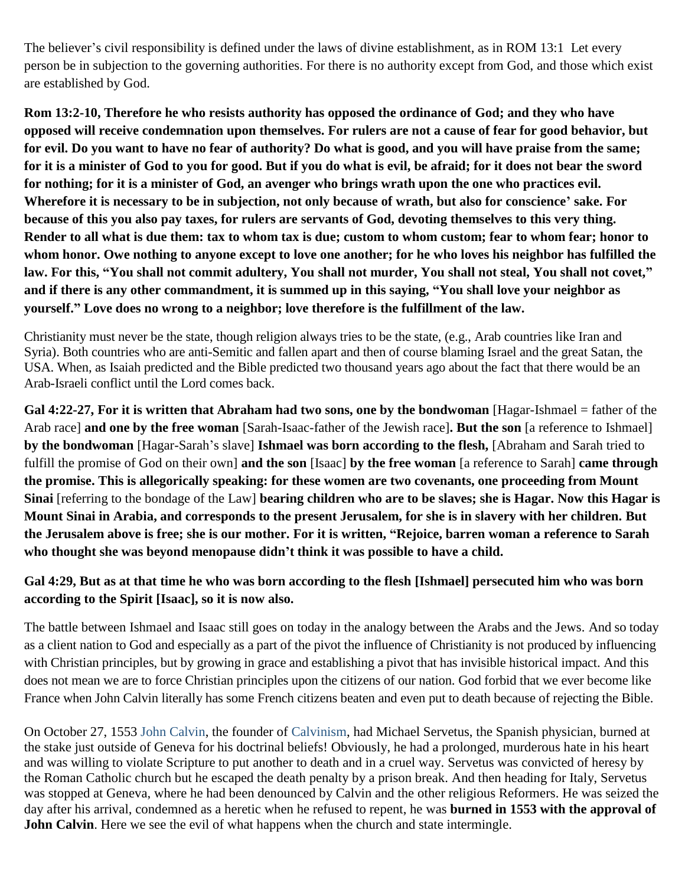The believer's civil responsibility is defined under the laws of divine establishment, as in ROM 13:1 Let every person be in subjection to the governing authorities. For there is no authority except from God, and those which exist are established by God.

**Rom 13:2-10, Therefore he who resists authority has opposed the ordinance of God; and they who have opposed will receive condemnation upon themselves. For rulers are not a cause of fear for good behavior, but for evil. Do you want to have no fear of authority? Do what is good, and you will have praise from the same; for it is a minister of God to you for good. But if you do what is evil, be afraid; for it does not bear the sword for nothing; for it is a minister of God, an avenger who brings wrath upon the one who practices evil. Wherefore it is necessary to be in subjection, not only because of wrath, but also for conscience' sake. For because of this you also pay taxes, for rulers are servants of God, devoting themselves to this very thing. Render to all what is due them: tax to whom tax is due; custom to whom custom; fear to whom fear; honor to whom honor. Owe nothing to anyone except to love one another; for he who loves his neighbor has fulfilled the law. For this, "You shall not commit adultery, You shall not murder, You shall not steal, You shall not covet," and if there is any other commandment, it is summed up in this saying, "You shall love your neighbor as yourself." Love does no wrong to a neighbor; love therefore is the fulfillment of the law.**

Christianity must never be the state, though religion always tries to be the state, (e.g., Arab countries like Iran and Syria). Both countries who are anti-Semitic and fallen apart and then of course blaming Israel and the great Satan, the USA. When, as Isaiah predicted and the Bible predicted two thousand years ago about the fact that there would be an Arab-Israeli conflict until the Lord comes back.

**Gal 4:22-27, For it is written that Abraham had two sons, one by the bondwoman** [Hagar-Ishmael = father of the Arab race] **and one by the free woman** [Sarah-Isaac-father of the Jewish race]**. But the son** [a reference to Ishmael] **by the bondwoman** [Hagar-Sarah's slave] **Ishmael was born according to the flesh,** [Abraham and Sarah tried to fulfill the promise of God on their own] **and the son** [Isaac] **by the free woman** [a reference to Sarah] **came through the promise. This is allegorically speaking: for these women are two covenants, one proceeding from Mount Sinai** [referring to the bondage of the Law] **bearing children who are to be slaves; she is Hagar. Now this Hagar is Mount Sinai in Arabia, and corresponds to the present Jerusalem, for she is in slavery with her children. But the Jerusalem above is free; she is our mother. For it is written, "Rejoice, barren woman a reference to Sarah who thought she was beyond menopause didn't think it was possible to have a child.**

# **Gal 4:29, But as at that time he who was born according to the flesh [Ishmael] persecuted him who was born according to the Spirit [Isaac], so it is now also.**

The battle between Ishmael and Isaac still goes on today in the analogy between the Arabs and the Jews. And so today as a client nation to God and especially as a part of the pivot the influence of Christianity is not produced by influencing with Christian principles, but by growing in grace and establishing a pivot that has invisible historical impact. And this does not mean we are to force Christian principles upon the citizens of our nation. God forbid that we ever become like France when John Calvin literally has some French citizens beaten and even put to death because of rejecting the Bible.

On October 27, 1553 [John Calvin,](http://www.evangelicaloutreach.org/johncalvin.htm) the founder of [Calvinism,](http://www.evangelicaloutreach.org/calvinismrefuted.htm) had Michael Servetus, the Spanish physician, burned at the stake just outside of Geneva for his doctrinal beliefs! Obviously, he had a prolonged, murderous hate in his heart and was willing to violate Scripture to put another to death and in a cruel way. Servetus was convicted of heresy by the Roman Catholic church but he escaped the death penalty by a prison break. And then heading for Italy, Servetus was stopped at Geneva, where he had been denounced by Calvin and the other religious Reformers. He was seized the day after his arrival, condemned as a heretic when he refused to repent, he was **burned in 1553 with the approval of John Calvin**. Here we see the evil of what happens when the church and state intermingle.